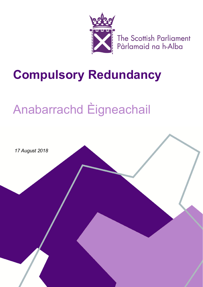

The Scottish Parliament<br>Pàrlamaid na h-Alba

# **Compulsory Redundancy**

# Anabarrachd Èigneachail

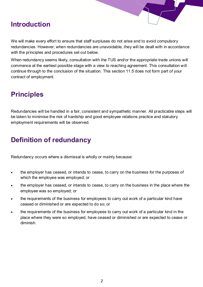### **Introduction**

We will make every effort to ensure that staff surpluses do not arise and to avoid compulsory redundancies. However, when redundancies are unavoidable, they will be dealt with in accordance with the principles and procedures set out below.

When redundancy seems likely, consultation with the TUS and/or the appropriate trade unions will commence at the earliest possible stage with a view to reaching agreement. This consultation will continue through to the conclusion of the situation. This section 11.5 does not form part of your contract of employment.

# **Principles**

Redundancies will be handled in a fair, consistent and sympathetic manner. All practicable steps will be taken to minimise the risk of hardship and good employee relations practice and statutory employment requirements will be observed.

# **Definition of redundancy**

Redundancy occurs where a dismissal is wholly or mainly because:

- the employer has ceased, or intends to cease, to carry on the business for the purposes of which the employee was employed; or
- the employer has ceased, or intends to cease, to carry on the business in the place where the employee was so employed; or
- the requirements of the business for employees to carry out work of a particular kind have ceased or diminished or are expected to do so; or
- the requirements of the business for employees to carry out work of a particular kind in the place where they were so employed, have ceased or diminished or are expected to cease or diminish.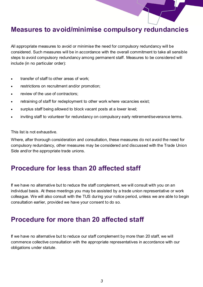#### **Measures to avoid/minimise compulsory redundancies**

All appropriate measures to avoid or minimise the need for compulsory redundancy will be considered. Such measures will be in accordance with the overall commitment to take all sensible steps to avoid compulsory redundancy among permanent staff. Measures to be considered will include (in no particular order):

- transfer of staff to other areas of work:
- restrictions on recruitment and/or promotion;
- review of the use of contractors:
- retraining of staff for redeployment to other work where vacancies exist;
- surplus staff being allowed to block vacant posts at a lower level;
- inviting staff to volunteer for redundancy on compulsory early retirement/severance terms.

This list is not exhaustive.

Where, after thorough consideration and consultation, these measures do not avoid the need for compulsory redundancy, other measures may be considered and discussed with the Trade Union Side and/or the appropriate trade unions.

#### **Procedure for less than 20 affected staff**

If we have no alternative but to reduce the staff complement, we will consult with you on an individual basis. At these meetings you may be assisted by a trade union representative or work colleague. We will also consult with the TUS during your notice period, unless we are able to begin consultation earlier, provided we have your consent to do so.

#### **Procedure for more than 20 affected staff**

If we have no alternative but to reduce our staff complement by more than 20 staff, we will commence collective consultation with the appropriate representatives in accordance with our obligations under statute.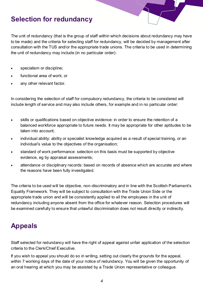#### **Selection for redundancy**

The unit of redundancy (that is the group of staff within which decisions about redundancy may have to be made) and the criteria for selecting staff for redundancy, will be decided by management after consultation with the TUS and/or the appropriate trade unions. The criteria to be used in determining the unit of redundancy may include (in no particular order):

- specialism or discipline;
- functional area of work; or
- any other relevant factor.

In considering the selection of staff for compulsory redundancy, the criteria to be considered will include length of service and may also include others, for example and in no particular order:

- skills or qualifications based on objective evidence: in order to ensure the retention of a balanced workforce appropriate to future needs. It may be appropriate for other aptitudes to be taken into account;
- individual ability: ability or specialist knowledge acquired as a result of special training, or an individual's value to the objectives of the organisation;
- standard of work performance: selection on this basis must be supported by objective evidence, eg by appraisal assessments;
- attendance or disciplinary records: based on records of absence which are accurate and where the reasons have been fully investigated.

The criteria to be used will be objective, non-discriminatory and in line with the Scottish Parliament's Equality Framework. They will be subject to consultation with the Trade Union Side or the appropriate trade union and will be consistently applied to all the employees in the unit of redundancy including anyone absent from the office for whatever reason. Selection procedures will be examined carefully to ensure that unlawful discrimination does not result directly or indirectly.

#### **Appeals**

Staff selected for redundancy will have the right of appeal against unfair application of the selection criteria to the Clerk/Chief Executive.

If you wish to appeal you should do so in writing, setting out clearly the grounds for the appeal, within 7 working days of the date of your notice of redundancy. You will be given the opportunity of an oral hearing at which you may be assisted by a Trade Union representative or colleague.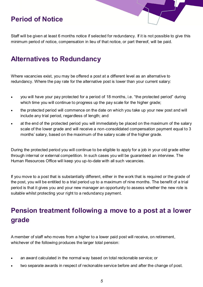# **Period of Notice**

Staff will be given at least 6 months notice if selected for redundancy. If it is not possible to give this minimum period of notice, compensation in lieu of that notice, or part thereof, will be paid.

#### **Alternatives to Redundancy**

Where vacancies exist, you may be offered a post at a different level as an alternative to redundancy. Where the pay rate for the alternative post is lower than your current salary:

- you will have your pay protected for a period of 18 months, i.e. "the protected period" during which time you will continue to progress up the pay scale for the higher grade;
- the protected period will commence on the date on which you take up your new post and will include any trial period, regardless of length; and
- at the end of the protected period you will immediately be placed on the maximum of the salary scale of the lower grade and will receive a non-consolidated compensation payment equal to 3 months' salary, based on the maximum of the salary scale of the higher grade.

During the protected period you will continue to be eligible to apply for a job in your old grade either through internal or external competition. In such cases you will be guaranteed an interview. The Human Resources Office will keep you up-to-date with all such vacancies.

If you move to a post that is substantially different, either in the work that is required or the grade of the post, you will be entitled to a trial period up to a maximum of nine months. The benefit of a trial period is that it gives you and your new manager an opportunity to assess whether the new role is suitable whilst protecting your right to a redundancy payment.

# **Pension treatment following a move to a post at a lower grade**

A member of staff who moves from a higher to a lower paid post will receive, on retirement, whichever of the following produces the larger total pension:

- an award calculated in the normal way based on total reckonable service; or
- two separate awards in respect of reckonable service before and after the change of post.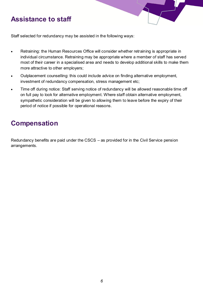#### **Assistance to staff**



Staff selected for redundancy may be assisted in the following ways:

- Retraining: the Human Resources Office will consider whether retraining is appropriate in individual circumstance. Retraining may be appropriate where a member of staff has served most of their career in a specialised area and needs to develop additional skills to make them more attractive to other employers;
- Outplacement counselling: this could include advice on finding alternative employment, investment of redundancy compensation, stress management etc;
- Time off during notice: Staff serving notice of redundancy will be allowed reasonable time off on full pay to look for alternative employment. Where staff obtain alternative employment, sympathetic consideration will be given to allowing them to leave before the expiry of their period of notice if possible for operational reasons.

#### **Compensation**

Redundancy benefits are paid under the CSCS – as provided for in the Civil Service pension arrangements.